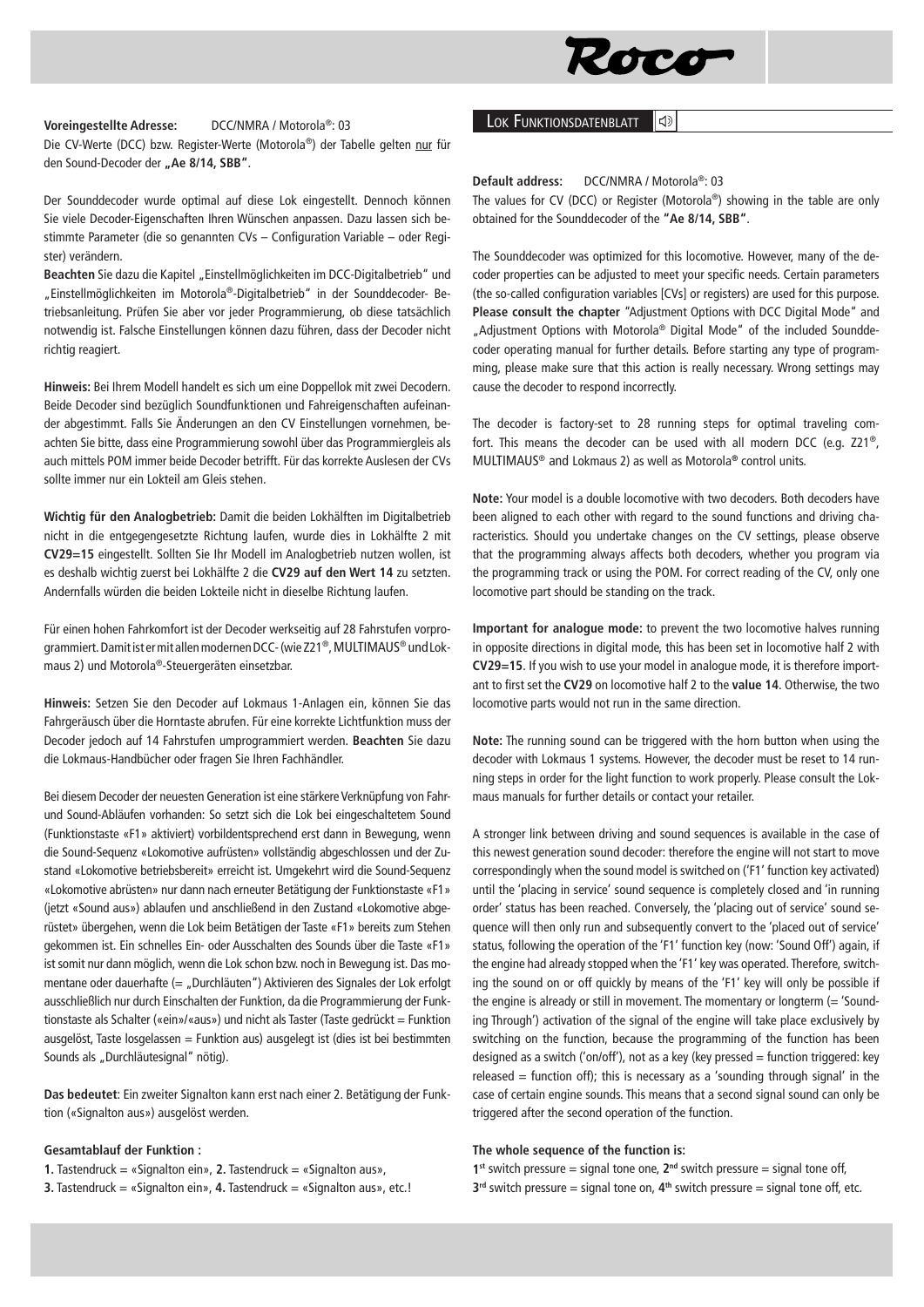

#### **Voreingestellte Adresse:** DCC/NMRA / Motorola®: 03

Die CV-Werte (DCC) bzw. Register-Werte (Motorola®) der Tabelle gelten nur für den Sound-Decoder der "Ae 8/14, SBB".

Der Sounddecoder wurde optimal auf diese Lok eingestellt. Dennoch können Sie viele Decoder-Eigenschaften Ihren Wünschen anpassen. Dazu lassen sich bestimmte Parameter (die so genannten CVs – Configuration Variable – oder Register) verändern.

Beachten Sie dazu die Kapitel "Einstellmöglichkeiten im DCC-Digitalbetrieb" und "Einstellmöglichkeiten im Motorola®-Digitalbetrieb" in der Sounddecoder- Betriebsanleitung. Prüfen Sie aber vor jeder Programmierung, ob diese tatsächlich notwendig ist. Falsche Einstellungen können dazu führen, dass der Decoder nicht richtig reagiert.

**Hinweis:** Bei Ihrem Modell handelt es sich um eine Doppellok mit zwei Decodern. Beide Decoder sind bezüglich Soundfunktionen und Fahreigenschaften aufeinander abgestimmt. Falls Sie Änderungen an den CV Einstellungen vornehmen, beachten Sie bitte, dass eine Programmierung sowohl über das Programmiergleis als auch mittels POM immer beide Decoder betrifft. Für das korrekte Auslesen der CVs sollte immer nur ein Lokteil am Gleis stehen.

**Wichtig für den Analogbetrieb:** Damit die beiden Lokhälften im Digitalbetrieb nicht in die entgegengesetzte Richtung laufen, wurde dies in Lokhälfte 2 mit **CV29=15** eingestellt. Sollten Sie Ihr Modell im Analogbetrieb nutzen wollen, ist es deshalb wichtig zuerst bei Lokhälfte 2 die **CV29 auf den Wert 14** zu setzten. Andernfalls würden die beiden Lokteile nicht in dieselbe Richtung laufen.

Für einen hohen Fahrkomfort ist der Decoder werkseitig auf 28 Fahrstufen vorprogrammiert. Damit ist er mit allen modernen DCC- (wie Z21®, MULTIMAUS® undLokmaus 2) und Motorola®-Steuergeräten einsetzbar.

**Hinweis:** Setzen Sie den Decoder auf Lokmaus 1-Anlagen ein, können Sie das Fahrgeräusch über die Horntaste abrufen. Für eine korrekte Lichtfunktion muss der Decoder jedoch auf 14 Fahrstufen umprogrammiert werden. **Beachten** Sie dazu die Lokmaus-Handbücher oder fragen Sie Ihren Fachhändler.

Bei diesem Decoder der neuesten Generation ist eine stärkere Verknüpfung von Fahrund Sound-Abläufen vorhanden: So setzt sich die Lok bei eingeschaltetem Sound (Funktionstaste «F1» aktiviert) vorbildentsprechend erst dann in Bewegung, wenn die Sound-Sequenz «Lokomotive aufrüsten» vollständig abgeschlossen und der Zustand «Lokomotive betriebsbereit» erreicht ist. Umgekehrt wird die Sound-Sequenz «Lokomotive abrüsten» nur dann nach erneuter Betätigung der Funktionstaste «F1» (jetzt «Sound aus») ablaufen und anschließend in den Zustand «Lokomotive abgerüstet» übergehen, wenn die Lok beim Betätigen der Taste «F1» bereits zum Stehen gekommen ist. Ein schnelles Ein- oder Ausschalten des Sounds über die Taste «F1» ist somit nur dann möglich, wenn die Lok schon bzw. noch in Bewegung ist. Das momentane oder dauerhafte (= "Durchläuten") Aktivieren des Signales der Lok erfolgt ausschließlich nur durch Einschalten der Funktion, da die Programmierung der Funktionstaste als Schalter («ein»/«aus») und nicht als Taster (Taste gedrückt = Funktion ausgelöst, Taste losgelassen = Funktion aus) ausgelegt ist (dies ist bei bestimmten Sounds als "Durchläutesignal" nötig).

**Das bedeutet**: Ein zweiter Signalton kann erst nach einer 2. Betätigung der Funktion («Signalton aus») ausgelöst werden.

### **Gesamtablauf der Funktion :**

- **1.** Tastendruck = «Signalton ein», **2.** Tastendruck = «Signalton aus»,
- **3.** Tastendruck = «Signalton ein», **4.** Tastendruck = «Signalton aus», etc.!

# **LOK FUNKTIONSDATENBLATT**

**Default address:** DCC/NMRA / Motorola®: 03

The values for CV (DCC) or Register (Motorola®) showing in the table are only obtained for the Sounddecoder of the **"Ae 8/14, SBB"**.

The Sounddecoder was optimized for this locomotive. However, many of the decoder properties can be adjusted to meet your specific needs. Certain parameters (the so-called configuration variables [CVs] or registers) are used for this purpose. **Please consult the chapter** "Adjustment Options with DCC Digital Mode" and "Adjustment Options with Motorola® Digital Mode" of the included Sounddecoder operating manual for further details. Before starting any type of programming, please make sure that this action is really necessary. Wrong settings may cause the decoder to respond incorrectly.

The decoder is factory-set to 28 running steps for optimal traveling comfort. This means the decoder can be used with all modern DCC (e.g. Z21®, MULTIMAUS® and Lokmaus 2) as well as Motorola**®** control units.

**Note:** Your model is a double locomotive with two decoders. Both decoders have been aligned to each other with regard to the sound functions and driving characteristics. Should you undertake changes on the CV settings, please observe that the programming always affects both decoders, whether you program via the programming track or using the POM. For correct reading of the CV, only one locomotive part should be standing on the track.

**Important for analogue mode:** to prevent the two locomotive halves running in opposite directions in digital mode, this has been set in locomotive half 2 with **CV29=15**. If you wish to use your model in analogue mode, it is therefore important to first set the **CV29** on locomotive half 2 to the **value 14**. Otherwise, the two locomotive parts would not run in the same direction.

**Note:** The running sound can be triggered with the horn button when using the decoder with Lokmaus 1 systems. However, the decoder must be reset to 14 running steps in order for the light function to work properly. Please consult the Lokmaus manuals for further details or contact your retailer.

A stronger link between driving and sound sequences is available in the case of this newest generation sound decoder: therefore the engine will not start to move correspondingly when the sound model is switched on ('F1' function key activated) until the 'placing in service' sound sequence is completely closed and 'in running order' status has been reached. Conversely, the 'placing out of service' sound sequence will then only run and subsequently convert to the 'placed out of service' status, following the operation of the 'F1' function key (now: 'Sound Off') again, if the engine had already stopped when the 'F1' key was operated. Therefore, switching the sound on or off quickly by means of the 'F1' key will only be possible if the engine is already or still in movement. The momentary or longterm  $(= 'Sound - )$ ing Through') activation of the signal of the engine will take place exclusively by switching on the function, because the programming of the function has been designed as a switch ('on/off'), not as a key (key pressed = function triggered: key released = function off); this is necessary as a 'sounding through signal' in the case of certain engine sounds. This means that a second signal sound can only be triggered after the second operation of the function.

## **The whole sequence of the function is:**

1<sup>st</sup> switch pressure = signal tone one,  $2<sup>nd</sup>$  switch pressure = signal tone off, **3rd** switch pressure = signal tone on, **4th** switch pressure = signal tone off, etc.